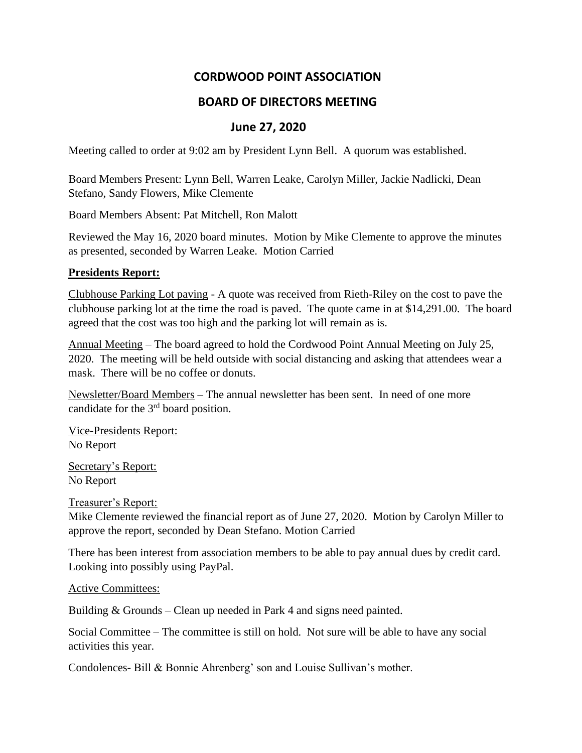# **CORDWOOD POINT ASSOCIATION**

## **BOARD OF DIRECTORS MEETING**

# **June 27, 2020**

Meeting called to order at 9:02 am by President Lynn Bell. A quorum was established.

Board Members Present: Lynn Bell, Warren Leake, Carolyn Miller, Jackie Nadlicki, Dean Stefano, Sandy Flowers, Mike Clemente

Board Members Absent: Pat Mitchell, Ron Malott

Reviewed the May 16, 2020 board minutes. Motion by Mike Clemente to approve the minutes as presented, seconded by Warren Leake. Motion Carried

### **Presidents Report:**

Clubhouse Parking Lot paving - A quote was received from Rieth-Riley on the cost to pave the clubhouse parking lot at the time the road is paved. The quote came in at \$14,291.00. The board agreed that the cost was too high and the parking lot will remain as is.

Annual Meeting – The board agreed to hold the Cordwood Point Annual Meeting on July 25, 2020. The meeting will be held outside with social distancing and asking that attendees wear a mask. There will be no coffee or donuts.

Newsletter/Board Members – The annual newsletter has been sent. In need of one more candidate for the 3rd board position.

Vice-Presidents Report: No Report

Secretary's Report: No Report

Treasurer's Report:

Mike Clemente reviewed the financial report as of June 27, 2020. Motion by Carolyn Miller to approve the report, seconded by Dean Stefano. Motion Carried

There has been interest from association members to be able to pay annual dues by credit card. Looking into possibly using PayPal.

### Active Committees:

Building & Grounds – Clean up needed in Park 4 and signs need painted.

Social Committee – The committee is still on hold. Not sure will be able to have any social activities this year.

Condolences- Bill & Bonnie Ahrenberg' son and Louise Sullivan's mother.